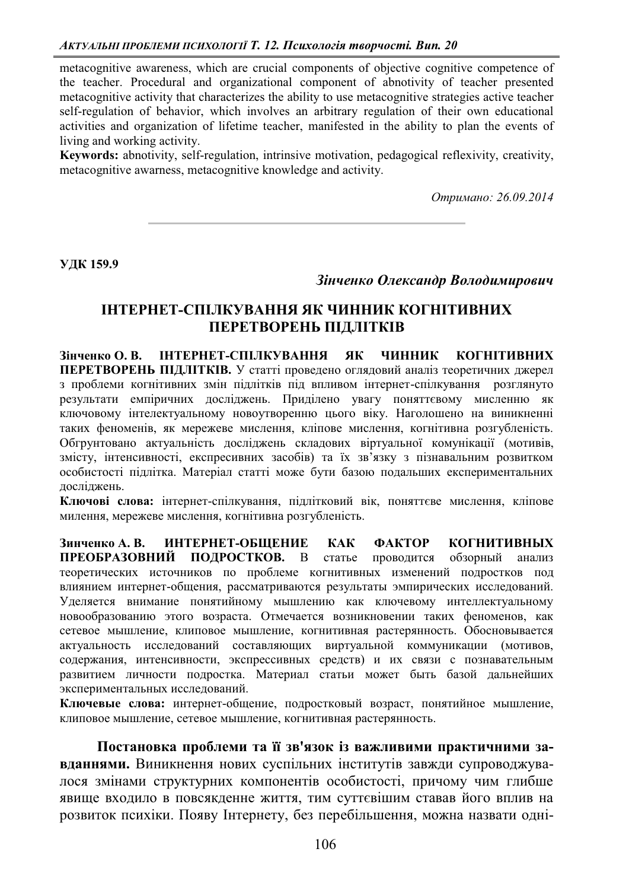metacognitive awareness, which are crucial components of objective cognitive competence of the teacher. Procedural and organizational component of abnotivity of teacher presented metacognitive activity that characterizes the ability to use metacognitive strategies active teacher self-regulation of behavior, which involves an arbitrary regulation of their own educational activities and organization of lifetime teacher, manifested in the ability to plan the events of living and working activity.

**Keywords:** abnotivity, self-regulation, intrinsive motivation, pedagogical reflexivity, creativity, metacognitive awarness, metacognitive knowledge and activity.

*Ɉɬɪɢɦɚɧɨ: 26.09.2014* 

УДК 159.9

## Зінченко Олександр Володимирович

## **ЛНТЕРНЕТ-СПІЛКУВАННЯ ЯК ЧИННИК КОГНІТИВНИХ** ПЕРЕТВОРЕНЬ ПІДЛІТКІВ

**Зінченко О.В. ИНТЕРНЕТ-СПІЛКУВАННЯ ЯК ЧИННИК КОГНІТИВНИХ** ПЕРЕТВОРЕНЬ ПІДЛІТКІВ. У статті проведено оглядовий аналіз теоретичних джерел з проблеми когнітивних змін підлітків під впливом інтернет-спілкування розглянуто результати емпіричних досліджень. Приділено увагу поняттєвому мисленню як ключовому інтелектуальному новоутворенню цього віку. Наголошено на виникненні таких феноменів, як мережеве мислення, кліпове мислення, когнітивна розгубленість. Обгрунтовано актуальність досліджень складових віртуальної комунікації (мотивів, змісту, інтенсивності, експресивних засобів) та їх зв'язку з пізнавальним розвитком особистості підлітка. Матеріал статті може бути базою подальших експериментальних лослілжень.

Ключові слова: інтернет-спілкування, підлітковий вік, поняттєве мислення, кліпове милення, мережеве мислення, когнітивна розгубленість.

**Зинченко А. В. ИНТЕРНЕТ-ОБШЕНИЕ КАК ФАКТОР КОГНИТИВНЫХ** ПРЕОБРАЗОВНИЙ ПОДРОСТКОВ. В статье проводится обзорный анализ теоретических источников по проблеме когнитивных изменений подростков под влиянием интернет-общения, рассматриваются результаты эмпирических исследований. Уделяется внимание понятийному мышлению как ключевому интеллектуальному новообразованию этого возраста. Отмечается возникновении таких феноменов, как сетевое мышление, клиповое мышление, когнитивная растерянность. Обосновывается актуальность исследований составляющих виртуальной коммуникации (мотивов, содержания, интенсивности, экспрессивных средств) и их связи с познавательным развитием личности подростка. Материал статьи может быть базой дальнейших экспериментальных исследований.

Ключевые слова: интернет-общение, подростковый возраст, понятийное мышление, клиповое мышление, сетевое мышление, когнитивная растерянность.

Постановка проблеми та її зв'язок із важливими практичними за**вданнями.** Виникнення нових суспільних інститутів завжди супроводжувалося змінами структурних компонентів особистості, причому чим глибше явище входило в повсякденне життя, тим суттєвішим ставав його вплив на розвиток психіки. Появу Інтернету, без перебільшення, можна назвати одні-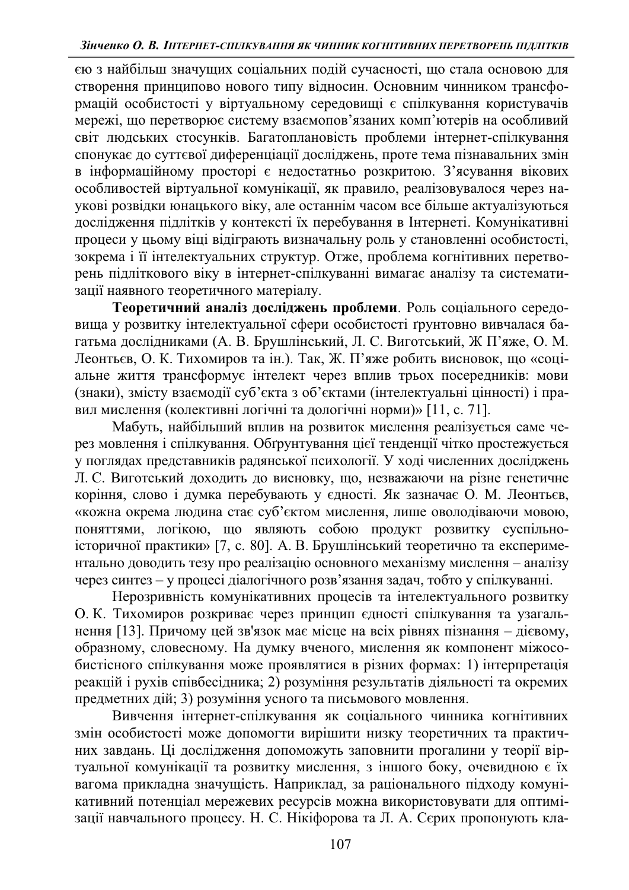єю з найбільш значущих соціальних подій сучасності, що стала основою для створення принципово нового типу відносин. Основним чинником трансформацій особистості у віртуальному середовищі є спілкування користувачів мережі, що перетворює систему взаємопов'язаних комп'ютерів на особливий світ людських стосунків. Багатоплановість проблеми інтернет-спілкування спонукає до суттєвої диференціації досліджень, проте тема пізнавальних змін в інформаційному просторі є недостатньо розкритою. З'ясування вікових особливостей віртуальної комунікації, як правило, реалізовувалося через наукові розвідки юнацького віку, але останнім часом все більше актуалізуються дослідження підлітків у контексті їх перебування в Інтернеті. Комунікативні процеси у цьому віці відіграють визначальну роль у становленні особистості, зокрема і її інтелектуальних структур. Отже, проблема когнітивних перетвоть підліткового віку в інтернет-спілкуванні вимагає аналізу та систематизації наявного теоретичного матеріалу.

Теоретичний аналіз досліджень проблеми. Роль соціального середовища у розвитку інтелектуальної сфери особистості ґрунтовно вивчалася багатьма дослідниками (А. В. Брушлінський, Л. С. Виготський, Ж П'яже, О. М. Леонтьєв, О. К. Тихомиров та ін.). Так, Ж. П'яже робить висновок, що «соціальне життя трансформує інтелект через вплив трьох посередників: мови (знаки), змісту взаємодії суб'єкта з об'єктами (інтелектуальні цінності) і правил мислення (колективні логічні та дологічні норми)» [11, с. 71].

Мабуть, найбільший вплив на розвиток мислення реалізується саме через мовлення і спілкування. Обтрунтування цієї тенденції чітко простежується у поглядах представників радянської психології. У ході численних досліджень Л. С. Виготський доходить до висновку, що, незважаючи на різне генетичне коріння, слово і думка перебувають у єдності. Як зазначає О. М. Леонтьєв, «кожна окрема людина стає суб'єктом мислення, лише оволодіваючи мовою, поняттями, логікою, що являють собою продукт розвитку суспільноісторичної практики» [7, с. 80]. А. В. Брушлінський теоретично та експериментально доводить тезу про реалізацію основного механізму мислення – аналізу через синтез – у процесі діалогічного розв'язання задач, тобто у спілкуванні.

Нерозривність комунікативних процесів та інтелектуального розвитку О. К. Тихомиров розкриває через принцип єдності спілкування та узагальнення [13]. Причому цей зв'язок має місце на всіх рівнях пізнання – дієвому, образному, словесному. На думку вченого, мислення як компонент міжособистісного спілкування може проявлятися в різних формах: 1) інтерпретація реакцій і рухів співбесідника; 2) розуміння результатів діяльності та окремих предметних дій; 3) розуміння усного та письмового мовлення.

Вивчення інтернет-спілкування як соціального чинника когнітивних змін особистості може допомогти вирішити низку теоретичних та практичних завдань. Ці дослідження допоможуть заповнити прогалини у теорії віртуальної комунікації та розвитку мислення, з іншого боку, очевидною є їх ••<br>вагома прикладна значущість. Наприклад, за раціонального підходу комунікативний потенціал мережевих ресурсів можна використовувати для оптимізації навчального процесу. Н. С. Нікіфорова та Л. А. Сєрих пропонують кла-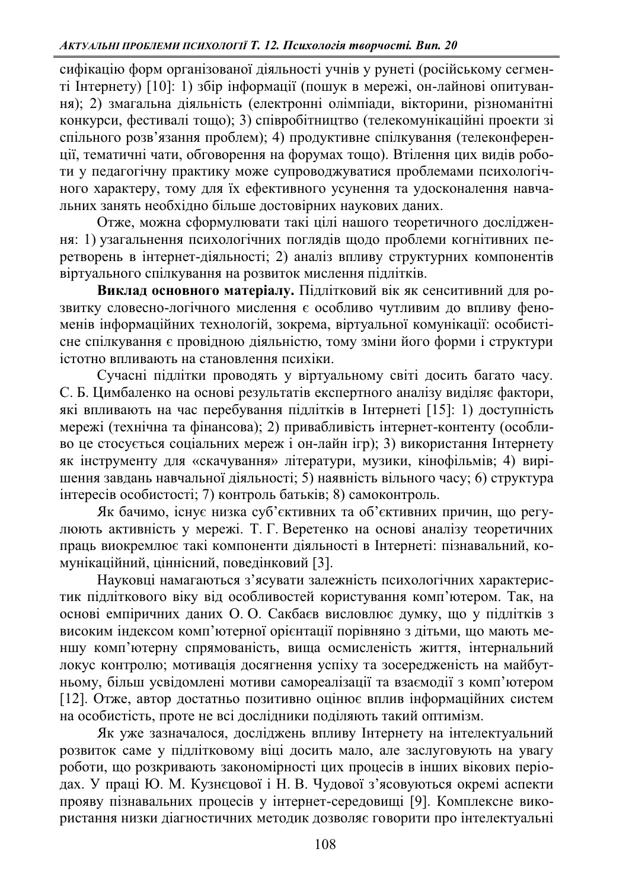сифікацію форм організованої діяльності учнів у рунеті (російському сегменті Інтернету) [10]: 1) збір інформації (пошук в мережі, он-лайнові опитування); 2) змагальна діяльність (електронні олімпіади, вікторини, різноманітні конкурси, фестивалі тощо); 3) співробітництво (телекомунікаційні проекти зі спільного розв'язання проблем); 4) продуктивне спілкування (телеконференції, тематичні чати, обговорення на форумах тощо). Втілення цих видів роботи у педагогічну практику може супроводжуватися проблемами психологічного характеру, тому для їх ефективного усунення та удосконалення навчальних занять необхідно більше достовірних наукових даних.

Отже, можна сформулювати такі цілі нашого теоретичного дослідження: 1) узагальнення психологічних поглядів щодо проблеми когнітивних перетворень в інтернет-діяльності; 2) аналіз впливу структурних компонентів віртуального спілкування на розвиток мислення підлітків.

**Виклад основного матеріалу.** Підлітковий вік як сенситивний для розвитку словесно-логічного мислення є особливо чутливим до впливу феноменів інформаційних технологій, зокрема, віртуальної комунікації: особистісне спілкування є провідною діяльністю, тому зміни його форми і структури істотно впливають на становлення психіки.

Сучасні підлітки проводять у віртуальному світі досить багато часу. С. Б. Цимбаленко на основі результатів експертного аналізу виділяє фактори, які впливають на час перебування підлітків в Інтернеті [15]: 1) доступність мережі (технічна та фінансова); 2) привабливість інтернет-контенту (особливо це стосується соціальних мереж і он-лайн iгр); 3) використання Інтернету як інструменту для «скачування» літератури, музики, кінофільмів; 4) вирішення завдань навчальної діяльності; 5) наявність вільного часу; 6) структура інтересів особистості; 7) контроль батьків; 8) самоконтроль.

Як бачимо, існує низка суб'єктивних та об'єктивних причин, що регулюють активність у мережі. Т. Г. Веретенко на основі аналізу теоретичних праць виокремлює такі компоненти діяльності в Інтернеті: пізнавальний, комунікаційний, ціннісний, поведінковий [3].

Науковці намагаються з'ясувати залежність психологічних характеристик підліткового віку від особливостей користування комп'ютером. Так, на основі емпіричних даних О. О. Сакбаєв висловлює думку, що у підлітків з високим індексом комп'ютерної орієнтації порівняно з дітьми, що мають меншу комп'ютерну спрямованість, вища осмисленість життя, інтернальний локус контролю; мотивація досягнення успіху та зосередженість на майбутньому, більш усвідомлені мотиви самореалізації та взаємодії з комп'ютером [12]. Отже, автор достатньо позитивно оцінює вплив інформаційних систем на особистість, проте не всі дослідники поділяють такий оптимізм.

Як уже зазначалося, досліджень впливу Інтернету на інтелектуальний розвиток саме у підлітковому віці досить мало, але заслуговують на увагу роботи, що розкривають закономірності цих процесів в інших вікових періодах. У праці Ю. М. Кузнєцової і Н. В. Чудової з'ясовуються окремі аспекти прояву пізнавальних процесів у інтернет-середовищі [9]. Комплексне використання низки діагностичних методик дозволяє говорити про інтелектуальні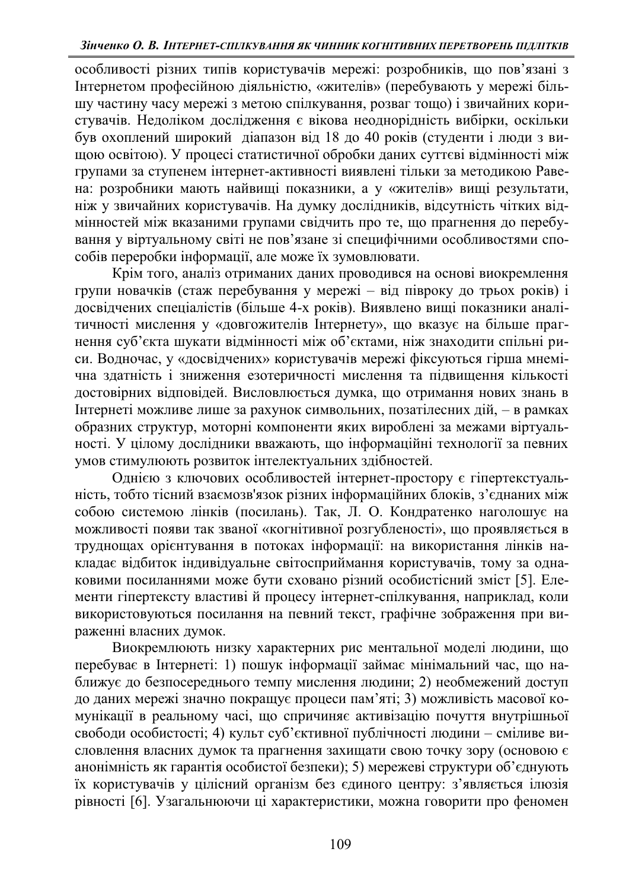особливості різних типів користувачів мережі: розробників, що пов'язані з Iнтернетом професійною діяльністю, «жителів» (перебувають у мережі більшу частину часу мережі з метою спілкування, розваг тощо) і звичайних користувачів. Недоліком дослідження є вікова неоднорідність вибірки, оскільки був охоплений широкий діапазон від 18 до 40 років (студенти і люди з вищою освітою). У процесі статистичної обробки даних суттєві відмінності між групами за ступенем інтернет-активності виявлені тільки за методикою Равена: розробники мають найвищі показники, а у «жителів» вищі результати, ніж у звичайних користувачів. На думку дослідників, відсутність чітких відмінностей між вказаними групами свідчить про те, що прагнення до перебування у віртуальному світі не пов'язане зі специфічними особливостями способів переробки інформації, але може їх зумовлювати.

Крім того, аналіз отриманих даних проводився на основі виокремлення групи новачків (стаж перебування у мережі - від півроку до трьох років) і досвідчених спеціалістів (більше 4-х років). Виявлено вищі показники аналітичності мислення у «довгожителів Інтернету», що вказує на більше прагнення суб'єкта шукати відмінності між об'єктами, ніж знаходити спільні риси. Водночас, у «досвідчених» користувачів мережі фіксуються гірша мнемічна здатність і зниження езотеричності мислення та підвищення кількості достовірних відповідей. Висловлюється думка, що отримання нових знань в Iнтернеті можливе лише за рахунок символьних, позатілесних дій, - в рамках образних структур, моторні компоненти яких вироблені за межами віртуальності. У цілому дослідники вважають, що інформаційні технології за певних умов стимулюють розвиток інтелектуальних здібностей.

Однією з ключових особливостей інтернет-простору є гіпертекстуальність, тобто тісний взаємозв'язок різних інформаційних блоків, з'єднаних між собою системою лінків (посилань). Так, Л. О. Кондратенко наголошує на можливості появи так званої «когнітивної розгубленості», що проявляється в труднощах орієнтування в потоках інформації: на використання лінків накладає відбиток індивідуальне світосприймання користувачів, тому за однаковими посиланнями може бути сховано різний особистісний зміст [5]. Елементи гіпертексту властиві й процесу інтернет-спілкування, наприклад, коли використовуються посилання на певний текст, графічне зображення при вираженні власних лумок.

Виокремлюють низку характерних рис ментальної моделі людини, що перебуває в Інтернеті: 1) пошук інформації займає мінімальний час, що наближує до безпосереднього темпу мислення людини; 2) необмежений доступ до даних мережі значно покращує процеси пам'яті; 3) можливість масової комунікації в реальному часі, що спричиняє активізацію почуття внутрішньої свободи особистості; 4) культ суб'єктивної публічності людини - сміливе висловлення власних думок та прагнення захищати свою точку зору (основою  $\epsilon$ анонімність як гарантія особистої безпеки); 5) мережеві структури об'єднують й користувачів у цілісний організм без єдиного центру: з'являється ілюзія рівності [6]. Узагальнюючи ці характеристики, можна говорити про феномен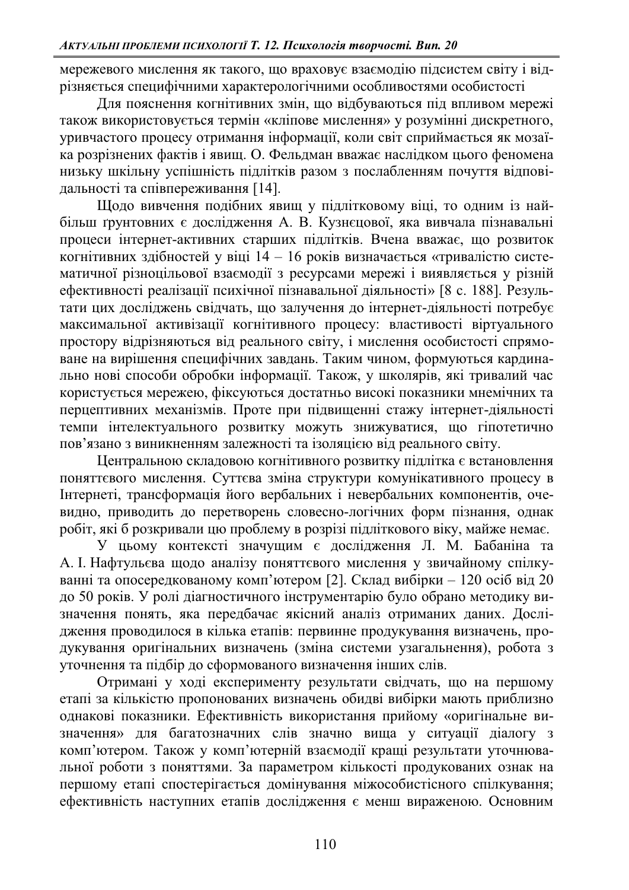мережевого мислення як такого, що враховує взаємодію підсистем світу і відрізняється специфічними характерологічними особливостями особистості

Для пояснення когнітивних змін, що вілбуваються піл впливом мережі також використовується термін «кліпове мислення» у розумінні дискретного, уривчастого процесу отримання інформації, коли світ сприймається як мозаїка розрізнених фактів і явищ. О. Фельдман вважає наслідком цього феномена низьку шкільну успішність підлітків разом з послабленням почуття відповідальності та співпереживання [14].

Шодо вивчення подібних явищ у підлітковому віці, то одним із найбільш ґрунтовних є дослідження А. В. Кузнєцової, яка вивчала пізнавальні процеси інтернет-активних старших підлітків. Вчена вважає, що розвиток когнітивних здібностей у віці  $14 - 16$  років визначається «тривалістю систематичної різноцільової взаємодії з ресурсами мережі і виявляється у різній ефективності реалізації психічної пізнавальної діяльності» [8 с. 188]. Результати цих досліджень свідчать, що залучення до інтернет-діяльності потребує максимальної активізації когнітивного процесу: властивості віртуального простору відрізняються від реального світу, і мислення особистості спрямоване на вирішення специфічних завдань. Таким чином, формуються кардинально нові способи обробки інформації. Також, у школярів, які тривалий час користується мережею, фіксуються достатньо високі показники мнемічних та перцептивних механізмів. Проте при підвищенні стажу інтернет-діяльності темпи інтелектуального розвитку можуть знижуватися, що гіпотетично пов'язано з виникненням залежності та ізоляцією від реального світу.

Центральною складовою когнітивного розвитку підлітка є встановлення поняттєвого мислення. Суттєва зміна структури комунікативного процесу в Интернеті, трансформація його вербальних і невербальних компонентів, очевидно, приводить до перетворень словесно-логічних форм пізнання, однак  $p$ обіт, які б розкривали цю проблему в розрізі підліткового віку, майже немає.

У цьому контексті значущим є дослідження Л. М. Бабаніна та А. I. Нафтульєва щодо аналізу поняттєвого мислення у звичайному спілкуванні та опосередкованому комп'ютером [2]. Склад вибірки - 120 осіб від 20 до 50 років. У ролі діагностичного інструментарію було обрано методику визначення понять, яка передбачає якісний аналіз отриманих даних. Дослідження проводилося в кілька етапів: первинне продукування визначень, продукування оригінальних визначень (зміна системи узагальнення), робота з уточнення та підбір до сформованого визначення інших слів.

Отримані у ході експерименту результати свідчать, що на першому етапі за кількістю пропонованих визначень обидві вибірки мають приблизно однакові показники. Ефективність використання прийому «оригінальне визначення» для багатозначних слів значно вища у ситуації діалогу з комп'ютером. Також у комп'ютерній взаємодії кращі результати уточнювальної роботи з поняттями. За параметром кількості продукованих ознак на першому етапі спостерігається домінування міжособистісного спілкування; ефективність наступних етапів дослідження є менш вираженою. Основним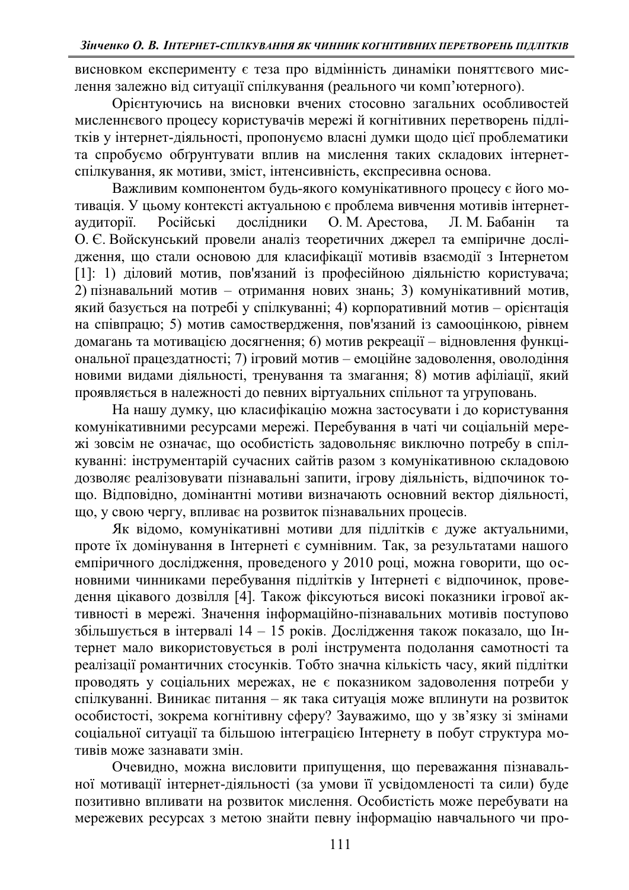висновком експерименту є теза про відмінність динаміки поняттєвого мислення залежно від ситуації спілкування (реального чи комп'ютерного).

Орієнтуючись на висновки вчених стосовно загальних особливостей мисленнєвого процесу користувачів мережі й когнітивних перетворень підлітків у інтернет-діяльності, пропонуємо власні думки щодо цієї проблематики та спробуємо обґрунтувати вплив на мислення таких складових інтернетспілкування, як мотиви, зміст, інтенсивність, експресивна основа.

Важливим компонентом будь-якого комунікативного процесу є його мотивація. У цьому контексті актуальною є проблема вивчення мотивів інтернетаудиторії. Російські дослідники О. М. Арестова, Л. М. Бабанін О. Є. Войскунський провели аналіз теоретичних джерел та емпіричне дослідження, що стали основою для класифікації мотивів взаємодії з Інтернетом [1]: 1) діловий мотив, пов'язаний із професійною діяльністю користувача; 2) пізнавальний мотив - отримання нових знань; 3) комунікативний мотив, який базується на потребі у спілкуванні; 4) корпоративний мотив – орієнтація на співпрацю; 5) мотив самоствердження, пов'язаний із самооцінкою, рівнем домагань та мотивацією досягнення; 6) мотив рекреації – відновлення функціональної працездатності; 7) ігровий мотив – емоційне задоволення, оволодіння новими видами діяльності, тренування та змагання; 8) мотив афіліації, який проявляється в належності до певних віртуальних спільнот та угруповань.

На нашу думку, цю класифікацію можна застосувати і до користування комунікативними ресурсами мережі. Перебування в чаті чи соціальній мережі зовсім не означає, що особистість задовольняє виключно потребу в спілкуванні: інструментарій сучасних сайтів разом з комунікативною складовою дозволяє реалізовувати пізнавальні запити, ігрову діяльність, відпочинок тощо. Відповідно, домінантні мотиви визначають основний вектор діяльності, що, у свою чергу, впливає на розвиток пізнавальних процесів.

Як відомо, комунікативні мотиви для підлітків є дуже актуальними, проте їх домінування в Інтернеті є сумнівним. Так, за результатами нашого емпіричного дослідження, проведеного у 2010 році, можна говорити, що основними чинниками перебування підлітків у Інтернеті є відпочинок, проведення цікавого дозвілля [4]. Також фіксуються високі показники ігрової активності в мережі. Значення інформаційно-пізнавальних мотивів поступово збільшується в інтервалі  $14 - 15$  років. Дослідження також показало, що Інтернет мало використовується в ролі інструмента подолання самотності та реалізації романтичних стосунків. Тобто значна кількість часу, який підлітки проводять у соціальних мережах, не є показником задоволення потреби у спілкуванні. Виникає питання – як така ситуація може вплинути на розвиток особистості, зокрема когнітивну сферу? Зауважимо, що у зв'язку зі змінами соціальної ситуації та більшою інтеграцією Інтернету в побут структура мотивів може зазнавати змін.

Очевидно, можна висловити припущення, що переважання пізнавальної мотивації інтернет-діяльності (за умови її усвідомленості та сили) буде позитивно впливати на розвиток мислення. Особистість може перебувати на мережевих ресурсах з метою знайти певну інформацію навчального чи про-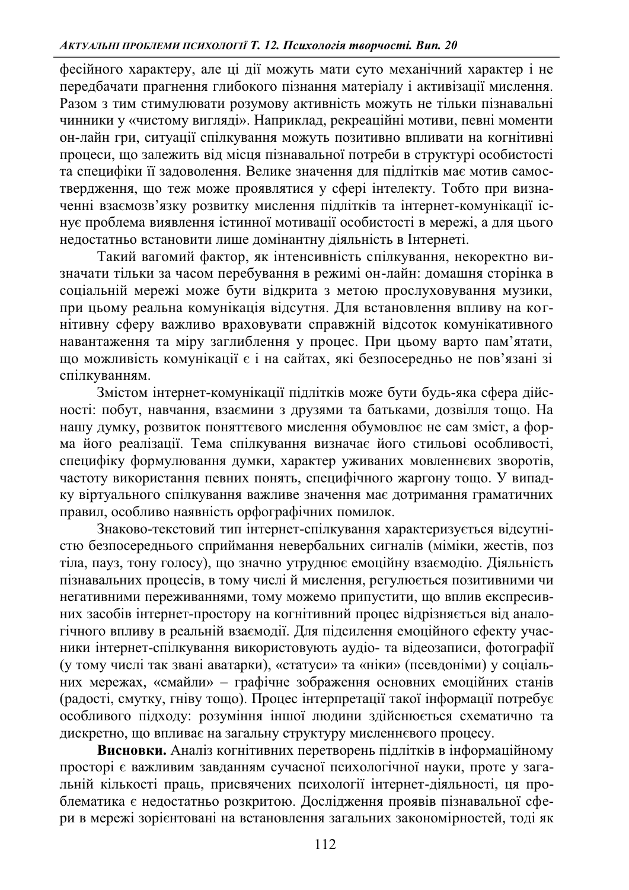фесійного характеру, але ці дії можуть мати суто механічний характер і не передбачати прагнення глибокого пізнання матеріалу і активізації мислення. Разом з тим стимулювати розумову активність можуть не тільки пізнавальні чинники у «чистому вигляді». Наприклад, рекреаційні мотиви, певні моменти он-лайн гри, ситуації спілкування можуть позитивно впливати на когнітивні процеси, що залежить від місця пізнавальної потреби в структурі особистості та специфіки її задоволення. Велике значення для підлітків має мотив самоствердження, що теж може проявлятися у сфері інтелекту. Тобто при визначенні взаємозв'язку розвитку мислення підлітків та інтернет-комунікації існує проблема виявлення істинної мотивації особистості в мережі, а для цього недостатньо встановити лише домінантну діяльність в Інтернеті.

Такий вагомий фактор, як інтенсивність спілкування, некоректно визначати тільки за часом перебування в режимі он-лайн: домашня сторінка в соціальній мережі може бути відкрита з метою прослуховування музики, при цьому реальна комунікація відсутня. Для встановлення впливу на когнітивну сферу важливо враховувати справжній відсоток комунікативного навантаження та міру заглиблення у процес. При цьому варто пам'ятати, що можливість комунікації є і на сайтах, які безпосередньо не пов'язані зі спілкуванням.

змістом інтернет-комунікації підлітків може бути будь-яка сфера дійсності: побут, навчання, взаємини з друзями та батьками, дозвілля тощо. На нашу думку, розвиток поняттєвого мислення обумовлює не сам зміст, а форма його реалізації. Тема спілкування визначає його стильові особливості, специфіку формулювання думки, характер уживаних мовленнєвих зворотів, частоту використання певних понять, специфічного жаргону тощо. У випадку віртуального спілкування важливе значення має дотримання граматичних правил, особливо наявність орфографічних помилок.

энаково-текстовий тип iнтернет-спілкування характеризується відсутністю безпосереднього сприймання невербальних сигналів (міміки, жестів, поз тіла, пауз, тону голосу), що значно утруднює емоційну взаємодію. Діяльність пізнавальних процесів, в тому числі й мислення, регулюється позитивними чи негативними переживаннями, тому можемо припустити, що вплив експресивних засобів інтернет-простору на когнітивний процес відрізняється від аналогічного впливу в реальній взаємодії. Для підсилення емоційного ефекту учасники інтернет-спілкування використовують аудіо- та відеозаписи, фотографії (у тому числі так звані аватарки), «статуси» та «ніки» (псевдоніми) у соціальних мережах, «смайли» - графічне зображення основних емоційних станів  $(pa \alpha$ ю́гі, смутку, гніву тощо). Процес інтерпретації такої інформації потребує особливого підходу: розуміння іншої людини здійснюється схематично та дискретно, що впливає на загальну структуру мисленнєвого процесу.

**Висновки.** Аналіз когнітивних перетворень підлітків в інформаційному просторі є важливим завданням сучасної психологічної науки, проте у загаи и такий кількості праць, присвячених психології інтернет-діяльності, ця проблематика є недостатньо розкритою. Дослідження проявів пізнавальної сфери в мережі зорієнтовані на встановлення загальних закономірностей, тоді як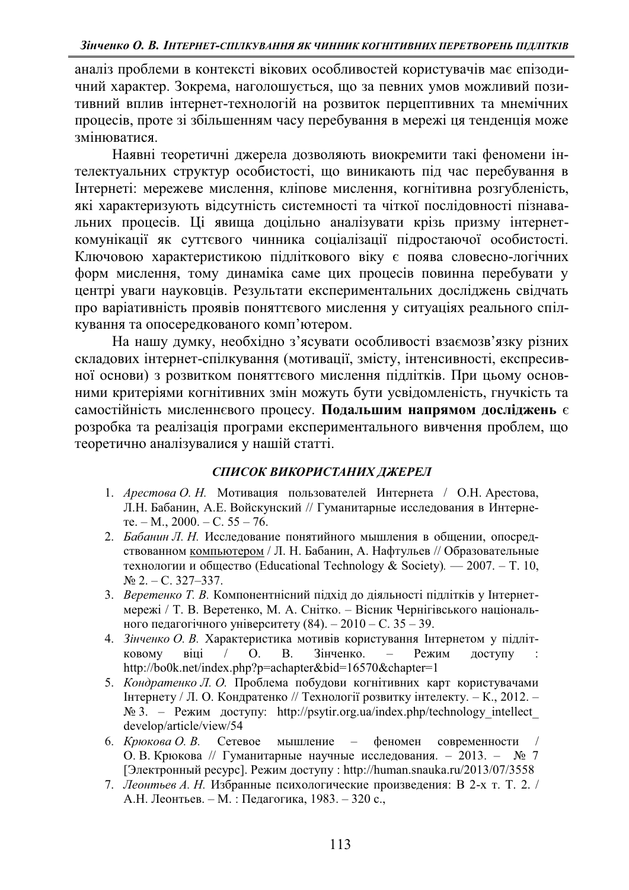аналіз проблеми в контексті вікових особливостей користувачів має епізодичний характер. Зокрема, наголошується, що за певних умов можливий позитивний вплив інтернет-технологій на розвиток перцептивних та мнемічних процесів, проте зі збільшенням часу перебування в мережі ця тенденція може змінюватися.

Наявні теоретичні джерела дозволяють виокремити такі феномени інтелектуальних структур особистості, що виникають під час перебування в Інтернеті: мережеве мислення, кліпове мислення, когнітивна розгубленість, які характеризують відсутність системності та чіткої послідовності пізнавальних процесів. Ці явища доцільно аналізувати крізь призму інтернеткомунікації як суттєвого чинника соціалізації підростаючої особистості. Ключовою характеристикою підліткового віку є поява словесно-логічних форм мислення, тому динаміка саме цих процесів повинна перебувати у центрі уваги науковців. Результати експериментальних досліджень свідчать про варіативність проявів поняттєвого мислення у ситуаціях реального спілкування та опосередкованого комп'ютером.

На нашу думку, необхідно з'ясувати особливості взаємозв'язку різних складових інтернет-спілкування (мотивації, змісту, інтенсивності, експресивної основи) з розвитком поняттєвого мислення підлітків. При цьому основними критеріями когнітивних змін можуть бути усвідомленість, гнучкість та самостійність мисленнєвого процесу. Подальшим напрямом досліджень є розробка та реалізація програми експериментального вивчення проблем, що теоретично аналізувалися у нашій статті.

## СПИСОК ВИКОРИСТАНИХ ДЖЕРЕЛ

- 1. *Арестова О. Н.* Мотивация пользователей Интернета / О.Н. Арестова, Л.Н. Бабанин, А.Е. Войскунский // Гуманитарные исследования в Интерне- $Te. - M., 2000. - C. 55 - 76.$
- 2. *Бабанин Л. Н.* Исследование понятийного мышления в общении, опосредствованном компьютером / Л. Н. Бабанин, А. Нафтульев // Образовательные технологии и общество (Educational Technology & Society). — 2007. – Т. 10,  $N<sub>2</sub>$  2. - C. 327-337.
- 3. *Веретенко Т. В.* Компонентнісний підхід до діяльності підлітків у Інтернетмережі / Т. В. Веретенко, М. А. Снітко. - Вісник Чернігівського національного педагогічного університету (84).  $- 2010 - C$ . 35  $- 39$ .
- 4. Зінченко О. В. Характеристика мотивів користування Інтернетом у підлітковому віці / О. В. Зінченко. - Режим доступу http://bo0k.net/index.php?p=achapter&bid=16570&chapter=1
- 5. *Кондратенко Л. О.* Проблема побудови когнітивних карт користувачами Інтернету / Л. О. Кондратенко // Технології розвитку інтелекту. - К., 2012. - $N$ <u>э</u> 3. − Режим доступу: http://psytir.org.ua/index.php/technology intellect develop/article/view/54
- 6. *Крюкова О. В.* Сетевое мышление феномен современности / О. В. Крюкова // Гуманитарные научные исследования. - 2013. - № 7 [Электронный ресурс]. Режим доступу: http://human.snauka.ru/2013/07/3558
- 7. Леонтьев А. Н. Избранные психологические произведения: В 2-х т. Т. 2. / А.Н. Леонтьев. - М. : Педагогика, 1983. - 320 с.,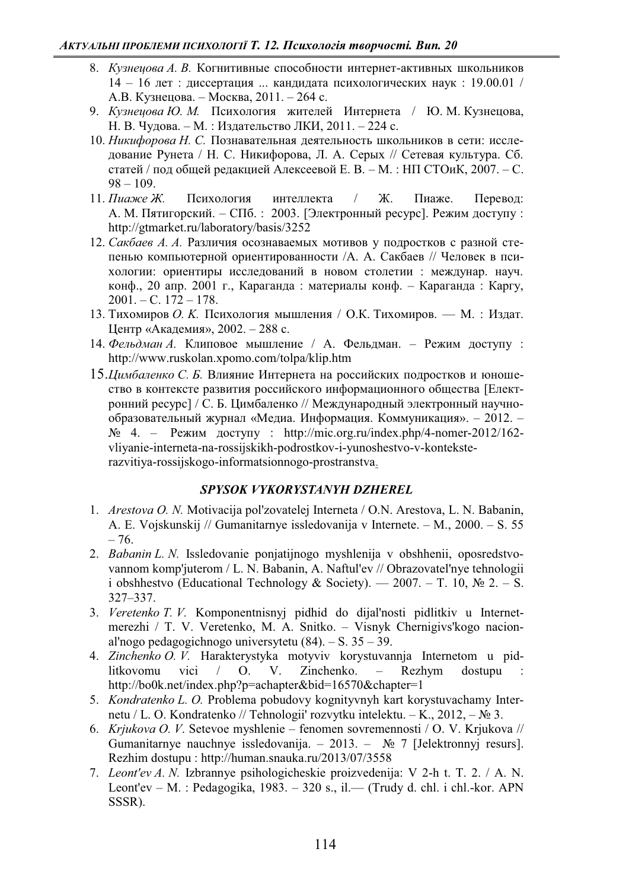- 8. *Кузнечова А. В.* Когнитивные способности интернет-активных школьников  $14 - 16$  лет : диссертация ... кандидата психологических наук : 19.00.01 / А.В. Кузнецова. – Москва, 2011. – 264 с.
- 9. *Кузнецова Ю. М.* Психология жителей Интернета / Ю. М. Кузнецова, Н. В. Чудова. – М.: Издательство ЛКИ, 2011. – 224 с.
- 10. *Никифорова Н. С.* Познавательная деятельность школьников в сети: исследование Рунета / Н. С. Никифорова, Л. А. Серых // Сетевая культура. Сб. статей / под общей редакцией Алексеевой Е. В. - М. : НП СТОиК, 2007. - С.  $98 - 109$ .
- 11. Пиаже Ж. Психология интеллекта / Ж. Пиаже. Перевод: А. М. Пятигорский. – СПб.: 2003. [Электронный ресурс]. Режим доступу: http://gtmarket.ru/laboratory/basis/3252
- 12. Сакбаев А. А. Различия осознаваемых мотивов у подростков с разной степенью компьютерной ориентированности /А. А. Сакбаев // Человек в психологии: ориентиры исследований в новом столетии : междунар. науч. конф., 20 апр. 2001 г., Караганда: материалы конф. – Караганда: Каргу,  $2001. - C. 172 - 178.$
- 13. Тихомиров *О. К.* Психология мышления / О.К. Тихомиров. М. : Издат. Центр «Академия», 2002. - 288 с.
- 14. Фельдман А. Клиповое мышление / А. Фельдман. Режим доступу: http://www.ruskolan.xpomo.com/tolpa/klip.htm
- 15.*Цимбаленко С. Б.* Влияние Интернета на российских подростков и юношество в контексте развития российского информационного общества [Електронний ресурс] / С. Б. Цимбаленко // Международный электронный научнообразовательный журнал «Медиа. Информация. Коммуникация». - 2012. - $N_2$  4. – Режим доступу: http://mic.org.ru/index.php/4-nomer-2012/162vliyanie-interneta-na-rossijskikh-podrostkov-i-yunoshestvo-v-konteksterazvitiya-rossijskogo-informatsionnogo-prostranstva.

## *SPYSOK VYKORYSTANYH DZHEREL*

- 1. *Arestova O. N.* Motivacija pol'zovatelej Interneta / O.N. Arestova, L. N. Babanin, A. E. Vojskunskij // Gumanitarnye issledovanija v Internete.  $- M_{12}$ , 2000.  $- S_{15}$ . 55  $-76.$
- 2. *Babanin L. N.* Issledovanie ponjatijnogo myshlenija v obshhenii, oposredstvovannom komp'juterom / L. N. Babanin, A. Naftul'ev // Obrazovatel'nye tehnologii i obshhestvo (Educational Technology & Society). — 2007. – T. 10,  $\mathbb{N}^2$  2. – S. 327±337.
- 3. *Veretenko T. V.* Komponentnisnyj pidhid do dijal'nosti pidlitkiv u Internetmerezhi / T. V. Veretenko, M. A. Snitko. – Visnyk Chernigivs' kogo nacional'nogo pedagogichnogo universytetu  $(84)$ .  $-$  S. 35  $-$  39.
- 4. *Zinchenko O. V.* Harakterystyka motyviv korystuvannja Internetom u pidlitkovomu vici / O. V. Zinchenko. – Rezhym dostupu : http://bo0k.net/index.php?p=achapter&bid=16570&chapter=1
- 5. *Kondratenko L. O.* Problema pobudovy kognityvnyh kart korystuvachamy Internetu / L. O. Kondratenko // Tehnologii' rozvytku intelektu.  $-K$ ., 2012,  $-\mathcal{N}_2$  3.
- 6. *Krjukova O. V.* Setevoe myshlenie fenomen sovremennosti / O. V. Krjukova // Gumanitarnye nauchnye issledovanija.  $-2013. - N$ <sup>o</sup> 7 [Jelektronnyj resurs]. Rezhim dostupu : http://human.snauka.ru/2013/07/3558
- 7. *Leont'ev A. N.* Izbrannye psihologicheskie proizvedenija: V 2-h t. T. 2. / A. N. Leont'ev  $-$  M. : Pedagogika, 1983.  $-$  320 s., il.  $-$  (Trudy d. chl. i chl.-kor. APN SSSR).